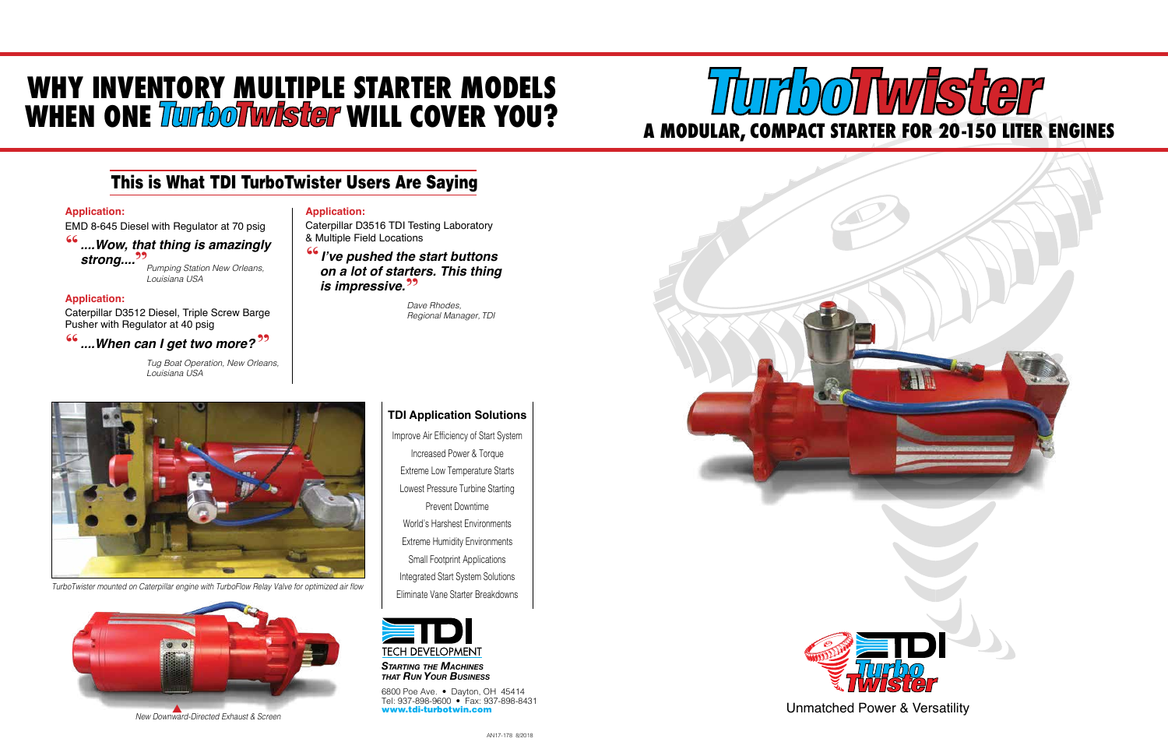6800 Poe Ave. • Dayton, OH 45414 Tel: 937-898-9600 • Fax: 937-898-8431 www.tdi-turbotwin.com

# **WHY INVENTORY MULTIPLE STARTER MODELS** WHEN ONE **TurboTwister** WILL COVER YOU?

*Starting the Machines that Run Your Business*

**TDI Application Solutions**

Improve Air Efficiency of Start System Increased Power & Torque Extreme Low Temperature Starts Lowest Pressure Turbine Starting Prevent Downtime World's Harshest Environments Extreme Humidity Environments Small Footprint Applications Integrated Start System Solutions Eliminate Vane Starter Breakdowns



# **66** .... When can I get two more?<sup>??</sup> "

Unmatched Power & Versatility







**is impressive.<sup>99</sup>** <sup>"</sup> I've pushed the start buttons<br>on a lot of starters. This thind  *on a lot of starters. This thing* 

#### TurboTwister mounted on Caterpillar engine with TurboFlow Relay Valve for optimized air flow



# This is What TDI TurboTwister Users Are Saying

#### **Application:**

EMD 8-645 Diesel with Regulator at 70 psig

 *....Wow, that thing is amazingly* " **strong....<sup>99</sup>** *Pumping Station New Orleans,*

*Louisiana USA*

### **Application:**

Caterpillar D3512 Diesel, Triple Screw Barge Pusher with Regulator at 40 psig

> *Tug Boat Operation, New Orleans, Louisiana USA*

## **Application:**

Caterpillar D3516 TDI Testing Laboratory & Multiple Field Locations

> *Dave Rhodes, Regional Manager, TDI*